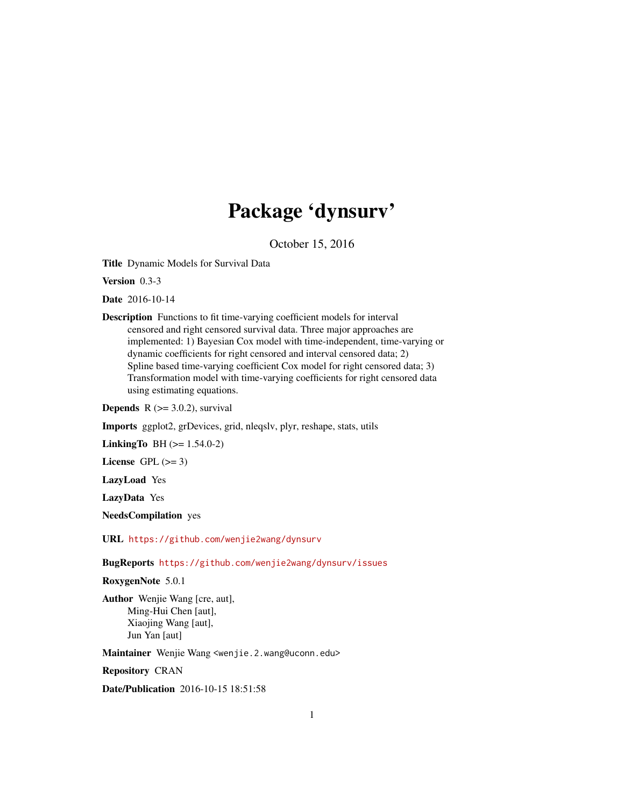# Package 'dynsurv'

October 15, 2016

Title Dynamic Models for Survival Data

Version 0.3-3

Date 2016-10-14

Description Functions to fit time-varying coefficient models for interval censored and right censored survival data. Three major approaches are implemented: 1) Bayesian Cox model with time-independent, time-varying or dynamic coefficients for right censored and interval censored data; 2) Spline based time-varying coefficient Cox model for right censored data; 3) Transformation model with time-varying coefficients for right censored data using estimating equations.

**Depends**  $R$  ( $>=$  3.0.2), survival

Imports ggplot2, grDevices, grid, nleqslv, plyr, reshape, stats, utils

**LinkingTo** BH  $(>= 1.54.0-2)$ 

License GPL  $(>= 3)$ 

LazyLoad Yes

LazyData Yes

NeedsCompilation yes

URL <https://github.com/wenjie2wang/dynsurv>

BugReports <https://github.com/wenjie2wang/dynsurv/issues>

RoxygenNote 5.0.1

Author Wenjie Wang [cre, aut], Ming-Hui Chen [aut], Xiaojing Wang [aut], Jun Yan [aut]

Maintainer Wenjie Wang <wenjie.2.wang@uconn.edu>

Repository CRAN

Date/Publication 2016-10-15 18:51:58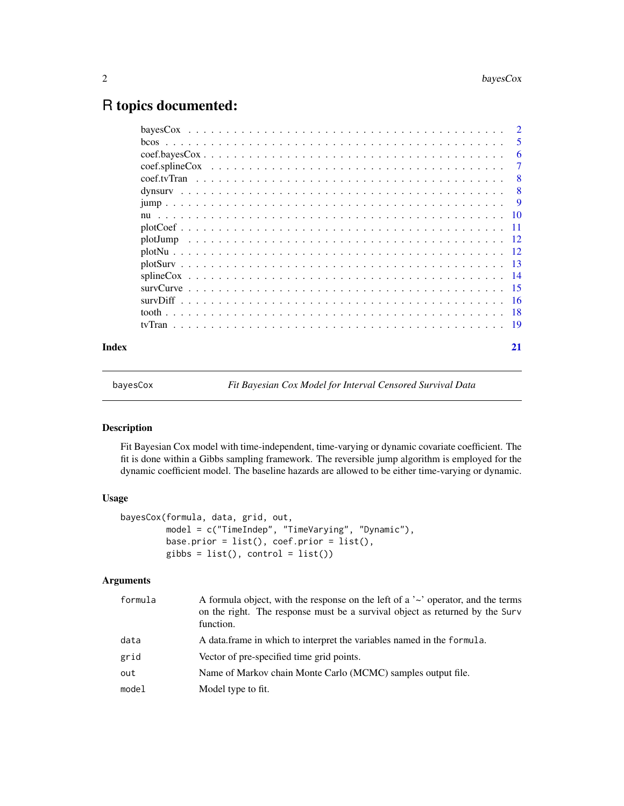# <span id="page-1-0"></span>R topics documented:

|       | <sup>2</sup> |
|-------|--------------|
|       | 5            |
|       | 6            |
|       | 7            |
|       | 8            |
|       | 8            |
|       | -9           |
|       |              |
|       |              |
|       |              |
|       |              |
|       |              |
|       |              |
|       |              |
|       |              |
|       |              |
|       |              |
| Index |              |

<span id="page-1-1"></span>bayesCox *Fit Bayesian Cox Model for Interval Censored Survival Data*

# Description

Fit Bayesian Cox model with time-independent, time-varying or dynamic covariate coefficient. The fit is done within a Gibbs sampling framework. The reversible jump algorithm is employed for the dynamic coefficient model. The baseline hazards are allowed to be either time-varying or dynamic.

# Usage

```
bayesCox(formula, data, grid, out,
        model = c("TimeIndep", "TimeVarying", "Dynamic"),
        base.prior = list(), coef.prior = list(),
        gibbs = list(), control = list())
```
# Arguments

| formula | A formula object, with the response on the left of a $\sim$ operator, and the terms<br>on the right. The response must be a survival object as returned by the Surv<br>function. |
|---------|----------------------------------------------------------------------------------------------------------------------------------------------------------------------------------|
| data    | A data frame in which to interpret the variables named in the formula.                                                                                                           |
| grid    | Vector of pre-specified time grid points.                                                                                                                                        |
| out     | Name of Markov chain Monte Carlo (MCMC) samples output file.                                                                                                                     |
| model   | Model type to fit.                                                                                                                                                               |
|         |                                                                                                                                                                                  |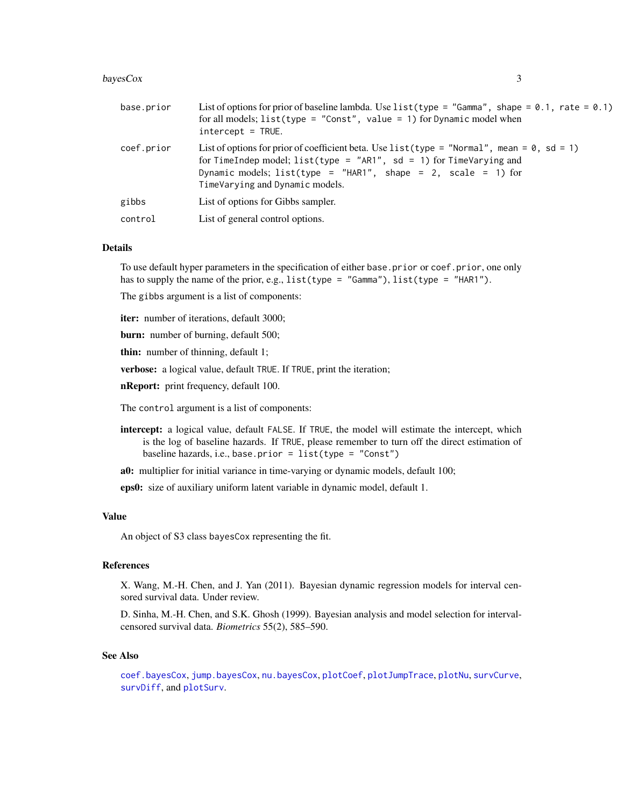#### <span id="page-2-0"></span>bayesCox 3

| base.prior | List of options for prior of baseline lambda. Use list (type = "Gamma", shape = $0.1$ , rate = $0.1$ )<br>for all models; $list(type = "Const", value = 1)$ for Dynamic model when<br>$intercept = TRUE.$                                                                        |
|------------|----------------------------------------------------------------------------------------------------------------------------------------------------------------------------------------------------------------------------------------------------------------------------------|
| coef.prior | List of options for prior of coefficient beta. Use list (type = "Normal", mean = $\theta$ , sd = 1)<br>for TimeIndep model; $list(type = "ARI", sd = 1)$ for TimeVarying and<br>Dynamic models; list(type = "HAR1", shape = 2, scale = 1) for<br>TimeVarying and Dynamic models. |
| gibbs      | List of options for Gibbs sampler.                                                                                                                                                                                                                                               |
| control    | List of general control options.                                                                                                                                                                                                                                                 |

#### Details

To use default hyper parameters in the specification of either base.prior or coef.prior, one only has to supply the name of the prior, e.g., list(type = "Gamma"), list(type = "HAR1").

The gibbs argument is a list of components:

iter: number of iterations, default 3000;

burn: number of burning, default 500;

thin: number of thinning, default 1;

verbose: a logical value, default TRUE. If TRUE, print the iteration;

nReport: print frequency, default 100.

The control argument is a list of components:

intercept: a logical value, default FALSE. If TRUE, the model will estimate the intercept, which is the log of baseline hazards. If TRUE, please remember to turn off the direct estimation of baseline hazards, i.e., base.prior = list(type = "Const")

a0: multiplier for initial variance in time-varying or dynamic models, default 100;

eps0: size of auxiliary uniform latent variable in dynamic model, default 1.

#### Value

An object of S3 class bayesCox representing the fit.

# References

X. Wang, M.-H. Chen, and J. Yan (2011). Bayesian dynamic regression models for interval censored survival data. Under review.

D. Sinha, M.-H. Chen, and S.K. Ghosh (1999). Bayesian analysis and model selection for intervalcensored survival data. *Biometrics* 55(2), 585–590.

#### See Also

[coef.bayesCox](#page-5-1), [jump.bayesCox](#page-8-1), [nu.bayesCox](#page-9-1), [plotCoef](#page-10-1), [plotJumpTrace](#page-11-1), [plotNu](#page-11-2), [survCurve](#page-14-1), [survDiff](#page-15-1), and [plotSurv](#page-12-1).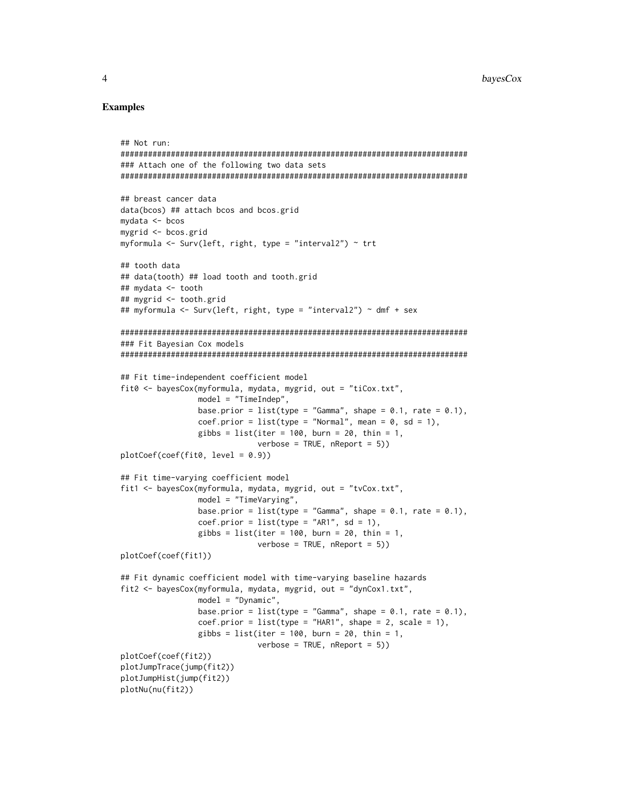## Examples

```
## Not run:
############################################################################
### Attach one of the following two data sets
############################################################################
## breast cancer data
data(bcos) ## attach bcos and bcos.grid
mydata <- bcos
mygrid <- bcos.grid
myformula <- Surv(left, right, type = "interval2") ~ trt
## tooth data
## data(tooth) ## load tooth and tooth.grid
## mydata <- tooth
## mygrid <- tooth.grid
## myformula <- Surv(left, right, type = "interval2") ~ dmf + sex
############################################################################
### Fit Bayesian Cox models
############################################################################
## Fit time-independent coefficient model
fit0 <- bayesCox(myformula, mydata, mygrid, out = "tiCox.txt",
                 model = "TimeIndep",
                 base.prior = list(type = "Gamma", shape = 0.1, rate = 0.1),
                 coef.prior = list(type = "Normal", mean = 0, sd = 1),gibbs = list(iter = 100, burn = 20, thin = 1,
                              verbose = TRUE, nReport = 5))
plotCoef(coef(fit0, level = 0.9))
## Fit time-varying coefficient model
fit1 <- bayesCox(myformula, mydata, mygrid, out = "tvCox.txt",
                 model = "TimeVarying",
                 base.prior = list(type = "Gamma", shape = 0.1, rate = 0.1),
                 coef.prior = list(type = "ARI", sd = 1),gibbs = list(iter = 100, burn = 20, thin = 1,verbose = TRUE, nReport = 5))
plotCoef(coef(fit1))
## Fit dynamic coefficient model with time-varying baseline hazards
fit2 <- bayesCox(myformula, mydata, mygrid, out = "dynCox1.txt",
                 model = "Dynamic",
                 base.prior = list(type = "Gamma", shape = 0.1, rate = 0.1),
                 coef.prior = list(type = "HARI", shape = 2, scale = 1),gibbs = list(iter = 100, burn = 20, thin = 1,verbose = TRUE, nReport = 5))
plotCoef(coef(fit2))
plotJumpTrace(jump(fit2))
plotJumpHist(jump(fit2))
plotNu(nu(fit2))
```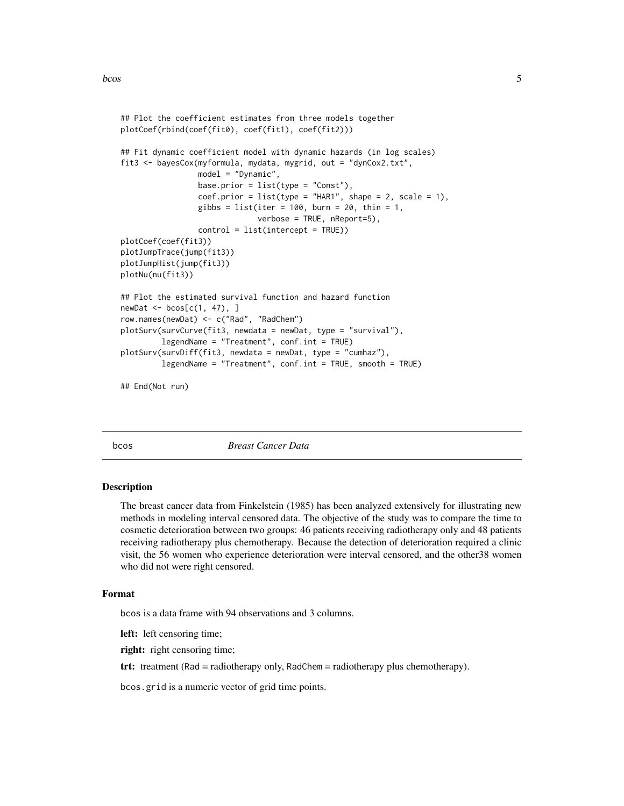<span id="page-4-0"></span>bcos 5

```
## Plot the coefficient estimates from three models together
plotCoef(rbind(coef(fit0), coef(fit1), coef(fit2)))
## Fit dynamic coefficient model with dynamic hazards (in log scales)
fit3 <- bayesCox(myformula, mydata, mygrid, out = "dynCox2.txt",
                 model = "Dynamic",
                 base.prior = list(type = "Const"),coef.prior = list(type = "HARI", shape = 2, scale = 1),gibbs = list(iter = 100, burn = 20, thin = 1,verbose = TRUE, nReport=5),
                 control = list(intercept = TRUE))
plotCoef(coef(fit3))
plotJumpTrace(jump(fit3))
plotJumpHist(jump(fit3))
plotNu(nu(fit3))
## Plot the estimated survival function and hazard function
newDat <- bcos[c(1, 47), ]
row.names(newDat) <- c("Rad", "RadChem")
plotSurv(survCurve(fit3, newdata = newDat, type = "survival"),
         legendName = "Treatment", conf.int = TRUE)
plotSurv(survDiff(fit3, newdata = newDat, type = "cumhaz"),
         legendName = "Treatment", conf.int = TRUE, smooth = TRUE)
```
## End(Not run)

bcos *Breast Cancer Data*

#### Description

The breast cancer data from Finkelstein (1985) has been analyzed extensively for illustrating new methods in modeling interval censored data. The objective of the study was to compare the time to cosmetic deterioration between two groups: 46 patients receiving radiotherapy only and 48 patients receiving radiotherapy plus chemotherapy. Because the detection of deterioration required a clinic visit, the 56 women who experience deterioration were interval censored, and the other38 women who did not were right censored.

#### Format

bcos is a data frame with 94 observations and 3 columns.

left: left censoring time;

right: right censoring time;

trt: treatment (Rad = radiotherapy only, RadChem = radiotherapy plus chemotherapy).

bcos.grid is a numeric vector of grid time points.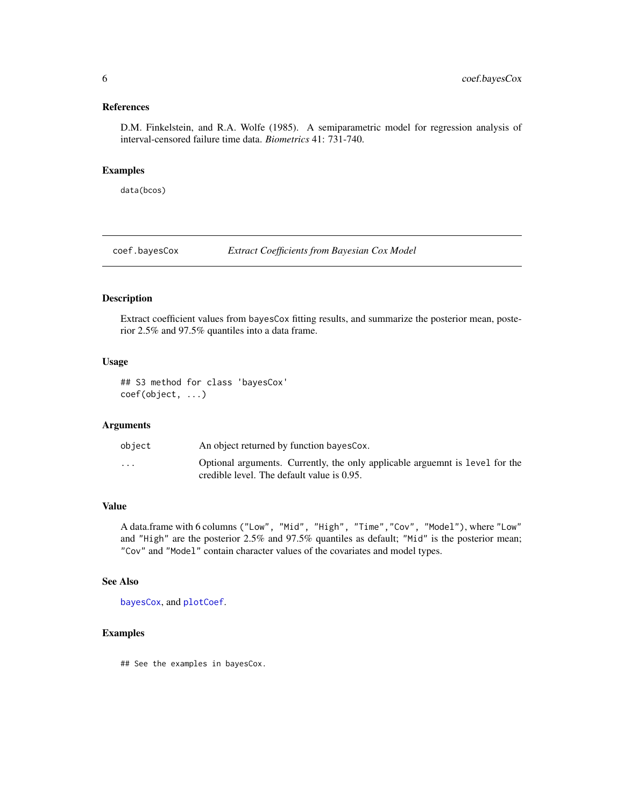# <span id="page-5-0"></span>References

D.M. Finkelstein, and R.A. Wolfe (1985). A semiparametric model for regression analysis of interval-censored failure time data. *Biometrics* 41: 731-740.

# Examples

data(bcos)

<span id="page-5-1"></span>coef.bayesCox *Extract Coefficients from Bayesian Cox Model*

# Description

Extract coefficient values from bayesCox fitting results, and summarize the posterior mean, posterior 2.5% and 97.5% quantiles into a data frame.

#### Usage

## S3 method for class 'bayesCox' coef(object, ...)

# Arguments

| object                  | An object returned by function bayes Cox.                                                                                  |
|-------------------------|----------------------------------------------------------------------------------------------------------------------------|
| $\cdot$ $\cdot$ $\cdot$ | Optional arguments. Currently, the only applicable arguemnt is level for the<br>credible level. The default value is 0.95. |

# Value

A data.frame with 6 columns ("Low", "Mid", "High", "Time","Cov", "Model"), where "Low" and "High" are the posterior 2.5% and 97.5% quantiles as default; "Mid" is the posterior mean; "Cov" and "Model" contain character values of the covariates and model types.

# See Also

[bayesCox](#page-1-1), and [plotCoef](#page-10-1).

## Examples

## See the examples in bayesCox.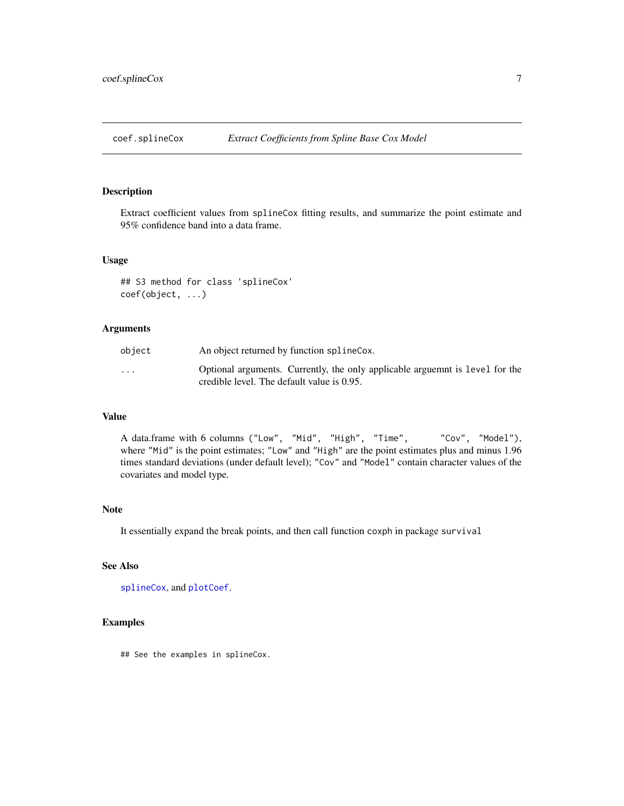<span id="page-6-1"></span><span id="page-6-0"></span>

Extract coefficient values from splineCox fitting results, and summarize the point estimate and 95% confidence band into a data frame.

#### Usage

## S3 method for class 'splineCox' coef(object, ...)

#### Arguments

| object                  | An object returned by function splineCox.                                                                                  |
|-------------------------|----------------------------------------------------------------------------------------------------------------------------|
| $\cdot$ $\cdot$ $\cdot$ | Optional arguments. Currently, the only applicable arguemnt is level for the<br>credible level. The default value is 0.95. |

#### Value

A data.frame with 6 columns ("Low", "Mid", "High", "Time", "Cov", "Model"), where "Mid" is the point estimates; "Low" and "High" are the point estimates plus and minus 1.96 times standard deviations (under default level); "Cov" and "Model" contain character values of the covariates and model type.

# Note

It essentially expand the break points, and then call function coxph in package survival

# See Also

```
splineCox, and plotCoef.
```
#### Examples

## See the examples in splineCox.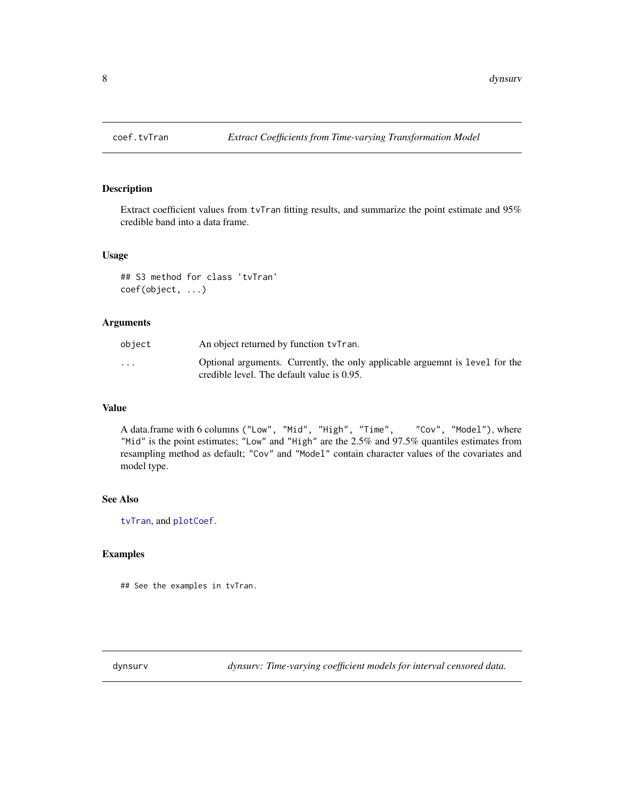<span id="page-7-1"></span><span id="page-7-0"></span>

Extract coefficient values from tvTran fitting results, and summarize the point estimate and 95% credible band into a data frame.

#### Usage

## S3 method for class 'tvTran' coef(object, ...)

#### Arguments

| object                  | An object returned by function tyTran.                                                                                     |
|-------------------------|----------------------------------------------------------------------------------------------------------------------------|
| $\cdot$ $\cdot$ $\cdot$ | Optional arguments. Currently, the only applicable arguemnt is level for the<br>credible level. The default value is 0.95. |

# Value

A data.frame with 6 columns ("Low", "Mid", "High", "Time", "Cov", "Model"), where "Mid" is the point estimates; "Low" and "High" are the 2.5% and 97.5% quantiles estimates from resampling method as default; "Cov" and "Model" contain character values of the covariates and model type.

# See Also

[tvTran](#page-18-1), and [plotCoef](#page-10-1).

# Examples

## See the examples in tvTran.

dynsurv *dynsurv: Time-varying coefficient models for interval censored data.*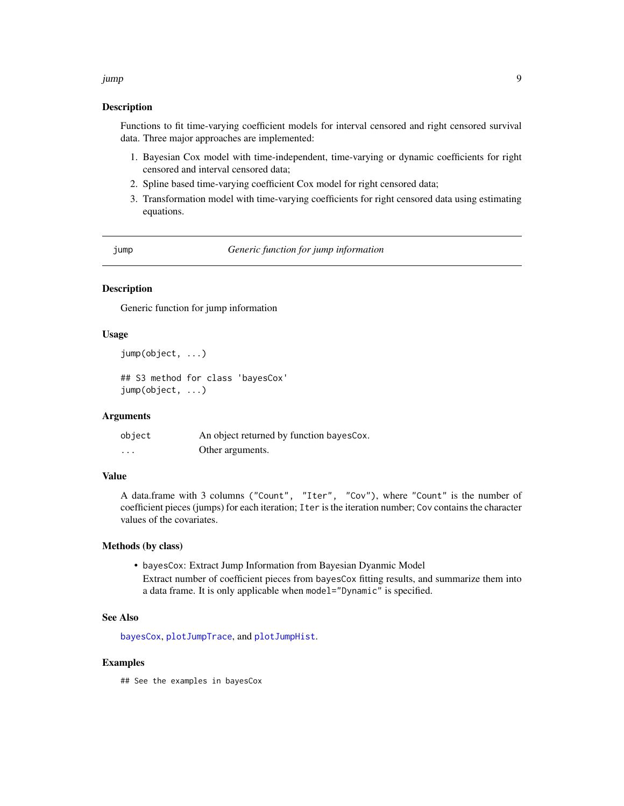#### <span id="page-8-0"></span>jump 9

#### Description

Functions to fit time-varying coefficient models for interval censored and right censored survival data. Three major approaches are implemented:

- 1. Bayesian Cox model with time-independent, time-varying or dynamic coefficients for right censored and interval censored data;
- 2. Spline based time-varying coefficient Cox model for right censored data;
- 3. Transformation model with time-varying coefficients for right censored data using estimating equations.

jump *Generic function for jump information*

# <span id="page-8-1"></span>Description

Generic function for jump information

#### Usage

```
jump(object, ...)
## S3 method for class 'bayesCox'
jump(object, ...)
```
#### Arguments

| object   | An object returned by function bayes Cox. |
|----------|-------------------------------------------|
| $\cdots$ | Other arguments.                          |

# Value

A data.frame with 3 columns ("Count", "Iter", "Cov"), where "Count" is the number of coefficient pieces (jumps) for each iteration; Iter is the iteration number; Cov contains the character values of the covariates.

#### Methods (by class)

• bayesCox: Extract Jump Information from Bayesian Dyanmic Model Extract number of coefficient pieces from bayesCox fitting results, and summarize them into a data frame. It is only applicable when model="Dynamic" is specified.

#### See Also

[bayesCox](#page-1-1), [plotJumpTrace](#page-11-1), and [plotJumpHist](#page-11-1).

#### Examples

## See the examples in bayesCox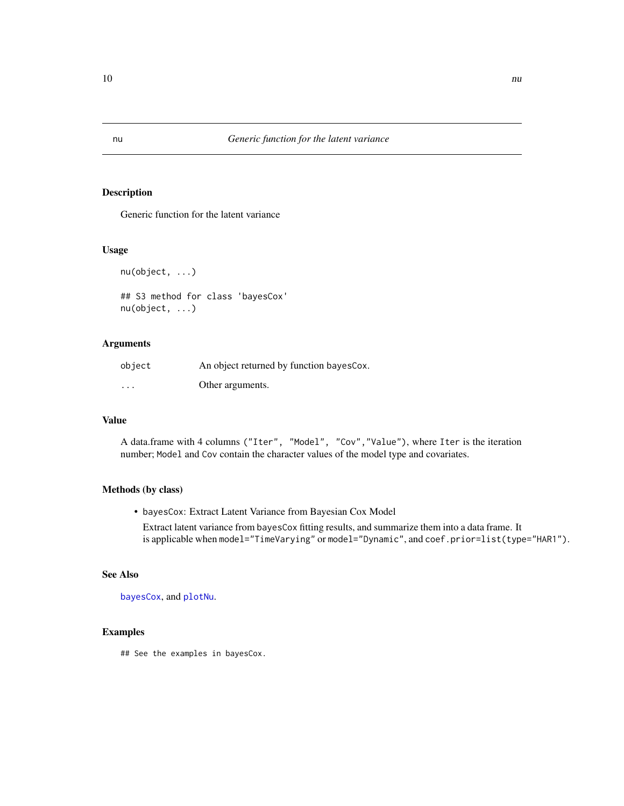Generic function for the latent variance

#### Usage

nu(object, ...)

```
## S3 method for class 'bayesCox'
nu(object, ...)
```
#### Arguments

| object  | An object returned by function bayes Cox. |
|---------|-------------------------------------------|
| $\cdot$ | Other arguments.                          |

# Value

A data.frame with 4 columns ("Iter", "Model", "Cov","Value"), where Iter is the iteration number; Model and Cov contain the character values of the model type and covariates.

#### Methods (by class)

• bayesCox: Extract Latent Variance from Bayesian Cox Model

Extract latent variance from bayesCox fitting results, and summarize them into a data frame. It is applicable when model="TimeVarying" or model="Dynamic", and coef.prior=list(type="HAR1").

# See Also

[bayesCox](#page-1-1), and [plotNu](#page-11-2).

# Examples

## See the examples in bayesCox.

<span id="page-9-1"></span><span id="page-9-0"></span>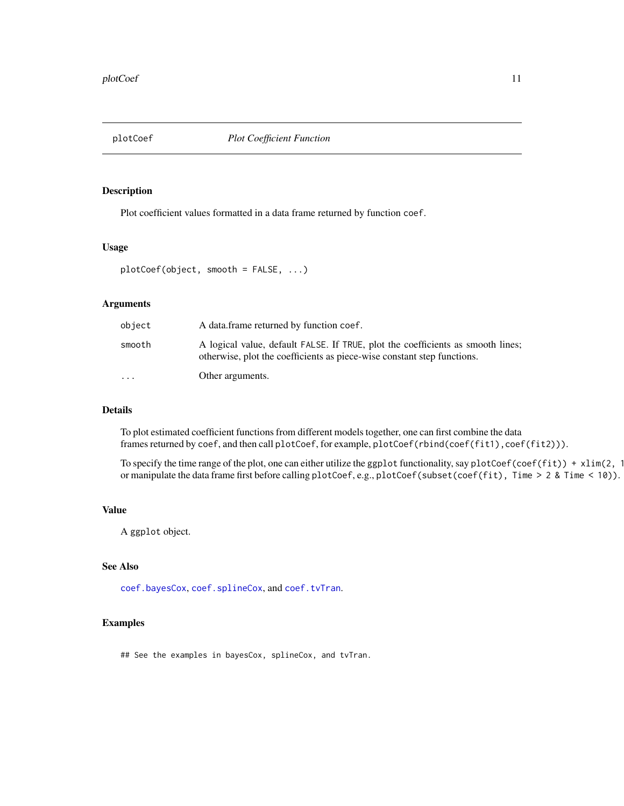<span id="page-10-1"></span><span id="page-10-0"></span>

Plot coefficient values formatted in a data frame returned by function coef.

# Usage

```
plotCoef(object, smooth = FALSE, ...)
```
#### Arguments

| object    | A data frame returned by function coef.                                                                                                                    |
|-----------|------------------------------------------------------------------------------------------------------------------------------------------------------------|
| smooth    | A logical value, default FALSE. If TRUE, plot the coefficients as smooth lines;<br>otherwise, plot the coefficients as piece-wise constant step functions. |
| $\ddotsc$ | Other arguments.                                                                                                                                           |

# Details

To plot estimated coefficient functions from different models together, one can first combine the data frames returned by coef, and then call plotCoef, for example, plotCoef(rbind(coef(fit1), coef(fit2))).

To specify the time range of the plot, one can either utilize the ggplot functionality, say plotCoef(coef(fit)) + xlim(2, 1 or manipulate the data frame first before calling plotCoef, e.g., plotCoef(subset(coef(fit), Time > 2 & Time < 10)).

# Value

A ggplot object.

# See Also

[coef.bayesCox](#page-5-1), [coef.splineCox](#page-6-1), and [coef.tvTran](#page-7-1).

#### Examples

## See the examples in bayesCox, splineCox, and tvTran.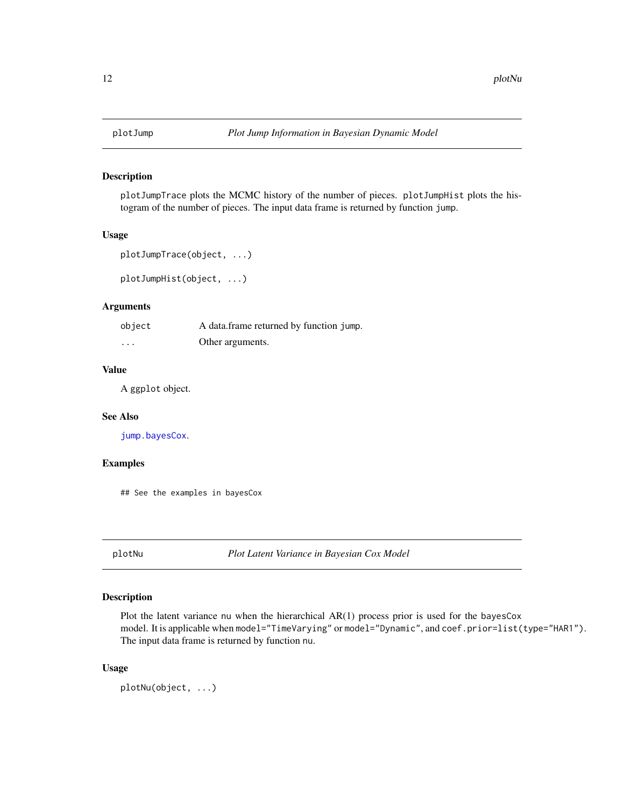<span id="page-11-1"></span><span id="page-11-0"></span>

plotJumpTrace plots the MCMC history of the number of pieces. plotJumpHist plots the histogram of the number of pieces. The input data frame is returned by function jump.

#### Usage

```
plotJumpTrace(object, ...)
```
plotJumpHist(object, ...)

#### Arguments

| object   | A data.frame returned by function jump. |
|----------|-----------------------------------------|
| $\cdots$ | Other arguments.                        |

# Value

A ggplot object.

#### See Also

[jump.bayesCox](#page-8-1).

#### Examples

## See the examples in bayesCox

<span id="page-11-2"></span>plotNu *Plot Latent Variance in Bayesian Cox Model*

#### Description

Plot the latent variance nu when the hierarchical  $AR(1)$  process prior is used for the bayesCox model. It is applicable when model="TimeVarying" or model="Dynamic", and coef.prior=list(type="HAR1"). The input data frame is returned by function nu.

#### Usage

plotNu(object, ...)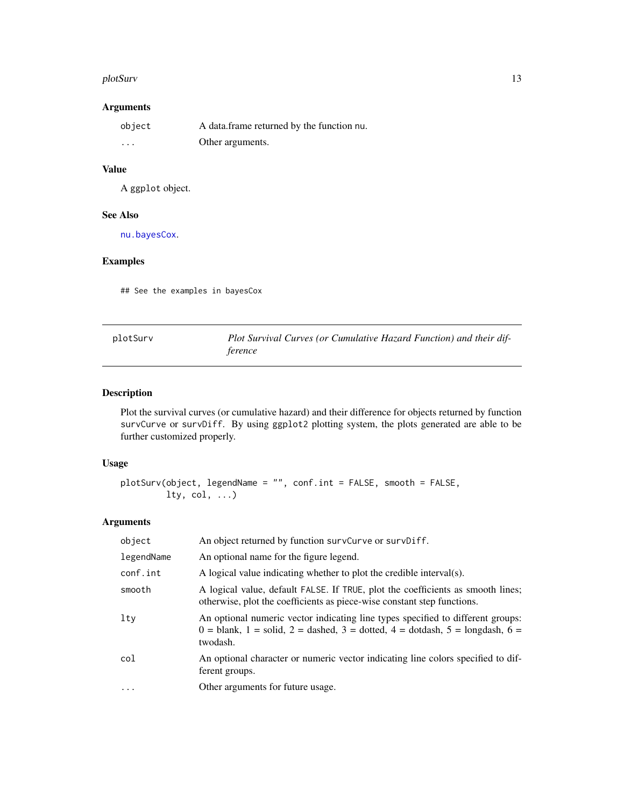#### <span id="page-12-0"></span>plotSurv and the state of the state of the state of the state of the state of the state of the state of the state of the state of the state of the state of the state of the state of the state of the state of the state of t

# Arguments

| object                  | A data frame returned by the function nu. |
|-------------------------|-------------------------------------------|
| $\cdot$ $\cdot$ $\cdot$ | Other arguments.                          |

# Value

A ggplot object.

#### See Also

[nu.bayesCox](#page-9-1).

# Examples

## See the examples in bayesCox

<span id="page-12-1"></span>

| plotSurv | Plot Survival Curves (or Cumulative Hazard Function) and their dif- |
|----------|---------------------------------------------------------------------|
|          | ference                                                             |

# Description

Plot the survival curves (or cumulative hazard) and their difference for objects returned by function survCurve or survDiff. By using ggplot2 plotting system, the plots generated are able to be further customized properly.

#### Usage

```
plotSurv(object, legendName = "", conf.int = FALSE, smooth = FALSE,
        lty, col, ...)
```
# Arguments

| object     | An object returned by function survCurve or survDiff.                                                                                                                                     |
|------------|-------------------------------------------------------------------------------------------------------------------------------------------------------------------------------------------|
| legendName | An optional name for the figure legend.                                                                                                                                                   |
| conf.int   | A logical value indicating whether to plot the credible interval(s).                                                                                                                      |
| smooth     | A logical value, default FALSE. If TRUE, plot the coefficients as smooth lines;<br>otherwise, plot the coefficients as piece-wise constant step functions.                                |
| $1$ ty     | An optional numeric vector indicating line types specified to different groups:<br>$0 =$ blank, $1 =$ solid, $2 =$ dashed, $3 =$ dotted, $4 =$ dotdash, $5 =$ longdash, $6 =$<br>twodash. |
| col        | An optional character or numeric vector indicating line colors specified to dif-<br>ferent groups.                                                                                        |
| $\ddots$ . | Other arguments for future usage.                                                                                                                                                         |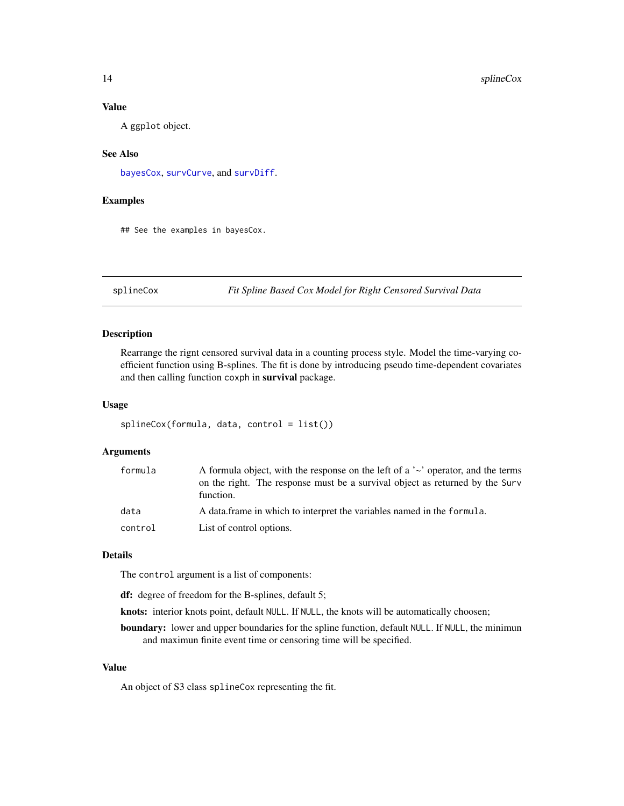### Value

A ggplot object.

#### See Also

[bayesCox](#page-1-1), [survCurve](#page-14-1), and [survDiff](#page-15-1).

# Examples

## See the examples in bayesCox.

<span id="page-13-1"></span>splineCox *Fit Spline Based Cox Model for Right Censored Survival Data*

#### Description

Rearrange the rignt censored survival data in a counting process style. Model the time-varying coefficient function using B-splines. The fit is done by introducing pseudo time-dependent covariates and then calling function coxph in survival package.

#### Usage

```
splineCox(formula, data, control = list())
```
#### Arguments

| formula | A formula object, with the response on the left of a $\sim$ operator, and the terms<br>on the right. The response must be a survival object as returned by the Surv<br>function. |
|---------|----------------------------------------------------------------------------------------------------------------------------------------------------------------------------------|
| data    | A data frame in which to interpret the variables named in the formula.                                                                                                           |
| control | List of control options.                                                                                                                                                         |

#### Details

The control argument is a list of components:

df: degree of freedom for the B-splines, default 5;

knots: interior knots point, default NULL. If NULL, the knots will be automatically choosen;

boundary: lower and upper boundaries for the spline function, default NULL. If NULL, the minimun and maximun finite event time or censoring time will be specified.

#### Value

An object of S3 class splineCox representing the fit.

<span id="page-13-0"></span>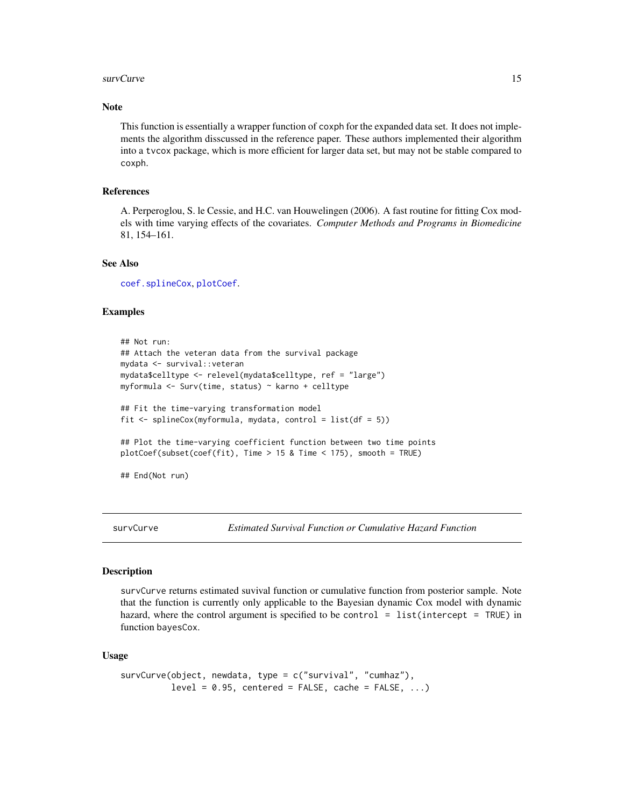#### <span id="page-14-0"></span>survCurve to the contract of the contract of the contract of the contract of the contract of the contract of the contract of the contract of the contract of the contract of the contract of the contract of the contract of t

#### **Note**

This function is essentially a wrapper function of coxph for the expanded data set. It does not implements the algorithm disscussed in the reference paper. These authors implemented their algorithm into a tvcox package, which is more efficient for larger data set, but may not be stable compared to coxph.

# References

A. Perperoglou, S. le Cessie, and H.C. van Houwelingen (2006). A fast routine for fitting Cox models with time varying effects of the covariates. *Computer Methods and Programs in Biomedicine* 81, 154–161.

# See Also

[coef.splineCox](#page-6-1), [plotCoef](#page-10-1).

#### Examples

```
## Not run:
## Attach the veteran data from the survival package
mydata <- survival::veteran
mydata$celltype <- relevel(mydata$celltype, ref = "large")
myformula <- Surv(time, status) ~ karno + celltype
## Fit the time-varying transformation model
fit <- splineCox(myformula, mydata, control = list(df = 5))
## Plot the time-varying coefficient function between two time points
plotCoef(subset(coef(fit), Time > 15 & Time < 175), smooth = TRUE)
```
## End(Not run)

<span id="page-14-1"></span>survCurve *Estimated Survival Function or Cumulative Hazard Function*

#### Description

survCurve returns estimated suvival function or cumulative function from posterior sample. Note that the function is currently only applicable to the Bayesian dynamic Cox model with dynamic hazard, where the control argument is specified to be control = list(intercept = TRUE) in function bayesCox.

#### Usage

```
survCurve(object, newdata, type = c("survival", "cumhaz"),
         level = 0.95, centered = FALSE, cache = FALSE, ...)
```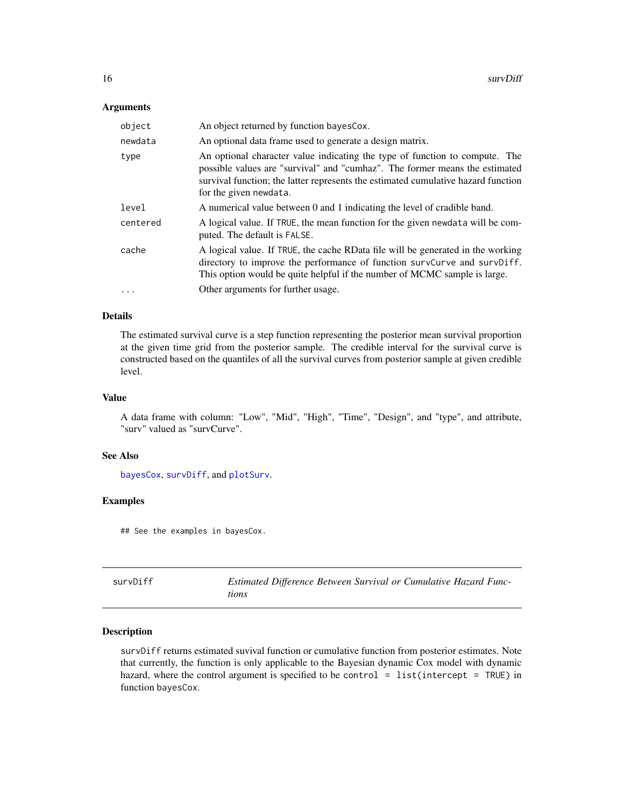#### <span id="page-15-0"></span>Arguments

| object    | An object returned by function bayes Cox.                                                                                                                                                                                                                                 |
|-----------|---------------------------------------------------------------------------------------------------------------------------------------------------------------------------------------------------------------------------------------------------------------------------|
| newdata   | An optional data frame used to generate a design matrix.                                                                                                                                                                                                                  |
| type      | An optional character value indicating the type of function to compute. The<br>possible values are "survival" and "cumhaz". The former means the estimated<br>survival function; the latter represents the estimated cumulative hazard function<br>for the given newdata. |
| level     | A numerical value between 0 and 1 indicating the level of cradible band.                                                                                                                                                                                                  |
| centered  | A logical value. If TRUE, the mean function for the given newdata will be com-<br>puted. The default is FALSE.                                                                                                                                                            |
| cache     | A logical value. If TRUE, the cache RData file will be generated in the working<br>directory to improve the performance of function survCurve and survDiff.<br>This option would be quite helpful if the number of MCMC sample is large.                                  |
| $\ddotsc$ | Other arguments for further usage.                                                                                                                                                                                                                                        |

#### Details

The estimated survival curve is a step function representing the posterior mean survival proportion at the given time grid from the posterior sample. The credible interval for the survival curve is constructed based on the quantiles of all the survival curves from posterior sample at given credible level.

#### Value

A data frame with column: "Low", "Mid", "High", "Time", "Design", and "type", and attribute, "surv" valued as "survCurve".

#### See Also

[bayesCox](#page-1-1), [survDiff](#page-15-1), and [plotSurv](#page-12-1).

# Examples

## See the examples in bayesCox.

<span id="page-15-1"></span>

| survDiff | Estimated Difference Between Survival or Cumulative Hazard Func- |
|----------|------------------------------------------------------------------|
|          | tions                                                            |

#### Description

survDiff returns estimated suvival function or cumulative function from posterior estimates. Note that currently, the function is only applicable to the Bayesian dynamic Cox model with dynamic hazard, where the control argument is specified to be control = list(intercept = TRUE) in function bayesCox.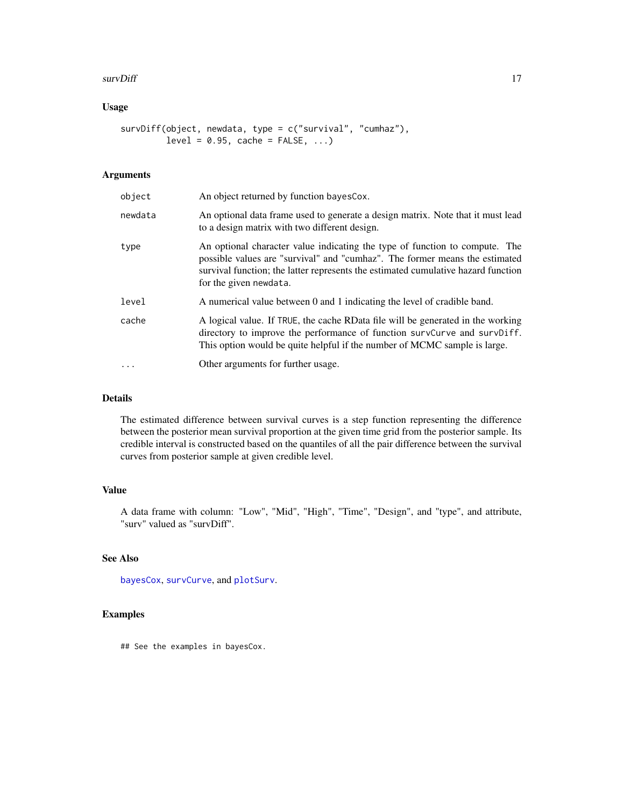#### <span id="page-16-0"></span>survDiff 27 and 27 and 27 and 27 and 27 and 27 and 27 and 27 and 27 and 27 and 27 and 27 and 27 and 27 and 27 and 27 and 27 and 27 and 27 and 27 and 27 and 27 and 27 and 27 and 27 and 27 and 27 and 27 and 27 and 27 and 27

# Usage

```
survDiff(object, newdata, type = c("survival", "cumhaz"),
        level = 0.95, cache = FALSE, ...)
```
# Arguments

| object  | An object returned by function bayes Cox.                                                                                                                                                                                                                                 |
|---------|---------------------------------------------------------------------------------------------------------------------------------------------------------------------------------------------------------------------------------------------------------------------------|
| newdata | An optional data frame used to generate a design matrix. Note that it must lead<br>to a design matrix with two different design.                                                                                                                                          |
| type    | An optional character value indicating the type of function to compute. The<br>possible values are "survival" and "cumhaz". The former means the estimated<br>survival function; the latter represents the estimated cumulative hazard function<br>for the given newdata. |
| level   | A numerical value between 0 and 1 indicating the level of cradible band.                                                                                                                                                                                                  |
| cache   | A logical value. If TRUE, the cache RData file will be generated in the working<br>directory to improve the performance of function survCurve and survDiff.<br>This option would be quite helpful if the number of MCMC sample is large.                                  |
| .       | Other arguments for further usage.                                                                                                                                                                                                                                        |

# Details

The estimated difference between survival curves is a step function representing the difference between the posterior mean survival proportion at the given time grid from the posterior sample. Its credible interval is constructed based on the quantiles of all the pair difference between the survival curves from posterior sample at given credible level.

# Value

A data frame with column: "Low", "Mid", "High", "Time", "Design", and "type", and attribute, "surv" valued as "survDiff".

#### See Also

[bayesCox](#page-1-1), [survCurve](#page-14-1), and [plotSurv](#page-12-1).

#### Examples

## See the examples in bayesCox.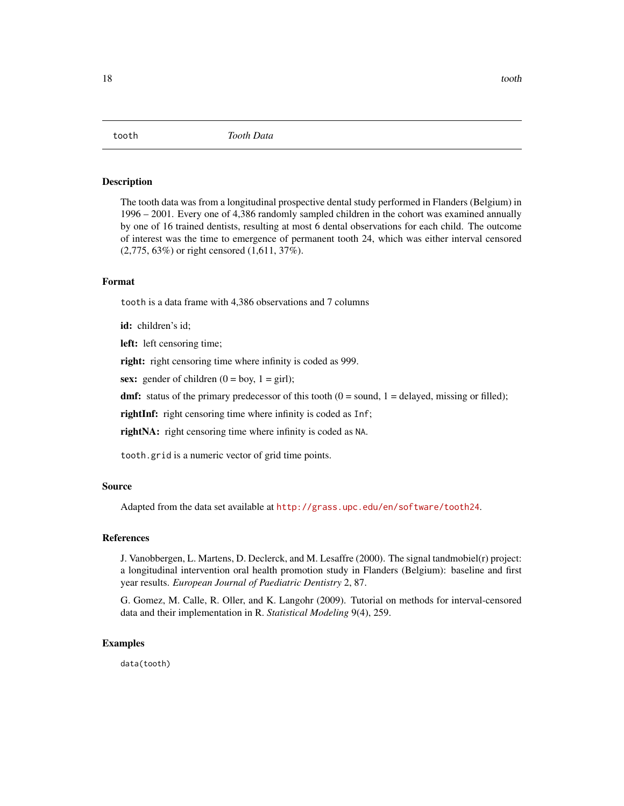<span id="page-17-0"></span>

The tooth data was from a longitudinal prospective dental study performed in Flanders (Belgium) in 1996 – 2001. Every one of 4,386 randomly sampled children in the cohort was examined annually by one of 16 trained dentists, resulting at most 6 dental observations for each child. The outcome of interest was the time to emergence of permanent tooth 24, which was either interval censored (2,775, 63%) or right censored (1,611, 37%).

#### Format

tooth is a data frame with 4,386 observations and 7 columns

id: children's id:

left: left censoring time;

right: right censoring time where infinity is coded as 999.

sex: gender of children  $(0 = boy, 1 = girl)$ ;

dmf: status of the primary predecessor of this tooth  $(0 = sound, 1 = delayed, missing or filled);$ 

rightInf: right censoring time where infinity is coded as Inf;

rightNA: right censoring time where infinity is coded as NA.

tooth.grid is a numeric vector of grid time points.

#### Source

Adapted from the data set available at <http://grass.upc.edu/en/software/tooth24>.

# References

J. Vanobbergen, L. Martens, D. Declerck, and M. Lesaffre (2000). The signal tandmobiel(r) project: a longitudinal intervention oral health promotion study in Flanders (Belgium): baseline and first year results. *European Journal of Paediatric Dentistry* 2, 87.

G. Gomez, M. Calle, R. Oller, and K. Langohr (2009). Tutorial on methods for interval-censored data and their implementation in R. *Statistical Modeling* 9(4), 259.

### Examples

data(tooth)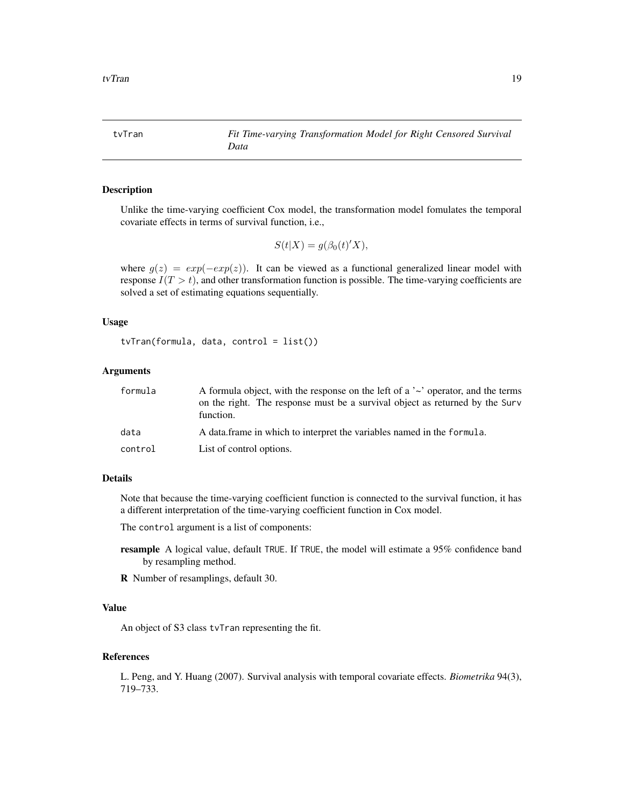<span id="page-18-1"></span><span id="page-18-0"></span>tvTran *Fit Time-varying Transformation Model for Right Censored Survival Data*

# Description

Unlike the time-varying coefficient Cox model, the transformation model fomulates the temporal covariate effects in terms of survival function, i.e.,

$$
S(t|X) = g(\beta_0(t)'X),
$$

where  $g(z) = exp(-exp(z))$ . It can be viewed as a functional generalized linear model with response  $I(T > t)$ , and other transformation function is possible. The time-varying coefficients are solved a set of estimating equations sequentially.

#### Usage

```
tvTran(formula, data, control = list())
```
#### Arguments

| formula | A formula object, with the response on the left of a $\sim$ operator, and the terms<br>on the right. The response must be a survival object as returned by the Surv<br>function. |
|---------|----------------------------------------------------------------------------------------------------------------------------------------------------------------------------------|
| data    | A data frame in which to interpret the variables named in the formula.                                                                                                           |
| control | List of control options.                                                                                                                                                         |

#### Details

Note that because the time-varying coefficient function is connected to the survival function, it has a different interpretation of the time-varying coefficient function in Cox model.

The control argument is a list of components:

- resample A logical value, default TRUE. If TRUE, the model will estimate a 95% confidence band by resampling method.
- R Number of resamplings, default 30.

# Value

An object of S3 class tvTran representing the fit.

#### References

L. Peng, and Y. Huang (2007). Survival analysis with temporal covariate effects. *Biometrika* 94(3), 719–733.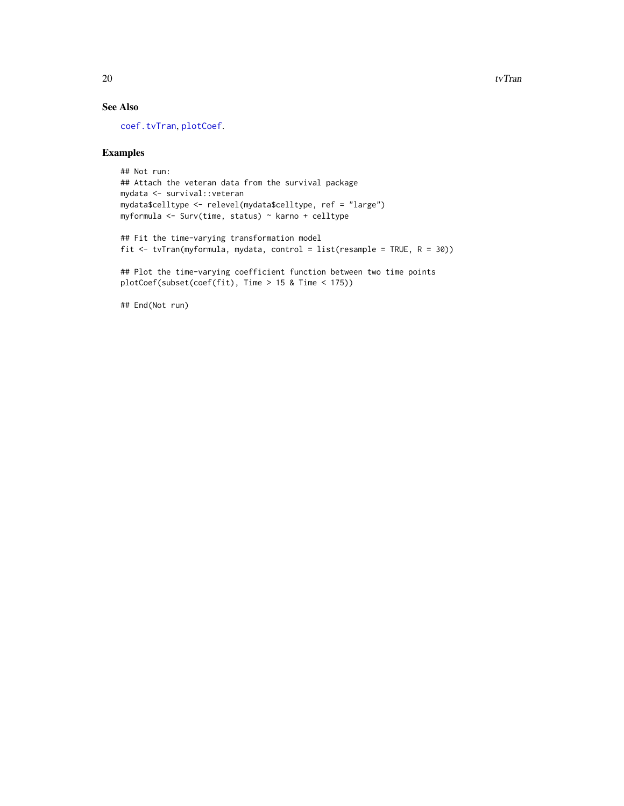# See Also

[coef.tvTran](#page-7-1), [plotCoef](#page-10-1).

# Examples

```
## Not run:
## Attach the veteran data from the survival package
mydata <- survival::veteran
mydata$celltype <- relevel(mydata$celltype, ref = "large")
myformula <- Surv(time, status) ~ karno + celltype
## Fit the time-varying transformation model
fit <- tvTran(myformula, mydata, control = list(resample = TRUE, R = 30))
## Plot the time-varying coefficient function between two time points
```

```
plotCoef(subset(coef(fit), Time > 15 & Time < 175))
```
## End(Not run)

<span id="page-19-0"></span>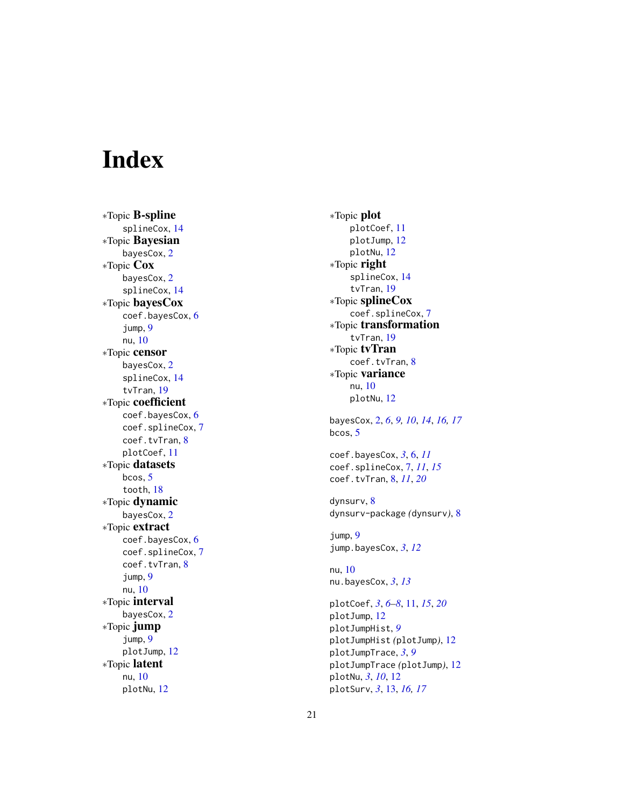# <span id="page-20-0"></span>Index

∗Topic B-spline splineCox , [14](#page-13-0) ∗Topic Bayesian bayesCox , [2](#page-1-0) ∗Topic Cox bayesCox , [2](#page-1-0) splineCox , [14](#page-13-0) ∗Topic bayesCox coef.bayesCox , [6](#page-5-0) jump , [9](#page-8-0) nu , [10](#page-9-0) ∗Topic censor bayesCox , [2](#page-1-0) splineCox , [14](#page-13-0) tvTran , [19](#page-18-0) ∗Topic coefficient coef.bayesCox , [6](#page-5-0) coef.splineCox , [7](#page-6-0) coef.tvTran, [8](#page-7-0) plotCoef , [11](#page-10-0) ∗Topic datasets bcos , [5](#page-4-0) tooth , [18](#page-17-0) ∗Topic dynamic bayesCox , [2](#page-1-0) ∗Topic extract coef.bayesCox, [6](#page-5-0) coef.splineCox , [7](#page-6-0) coef.tvTran, [8](#page-7-0) jump , [9](#page-8-0) nu , [10](#page-9-0) ∗Topic interval bayesCox , [2](#page-1-0) ∗Topic jump jump , [9](#page-8-0) plotJump , [12](#page-11-0) ∗Topic latent nu , [10](#page-9-0) plotNu , [12](#page-11-0)

∗Topic plot plotCoef , [11](#page-10-0) plotJump , [12](#page-11-0) plotNu , [12](#page-11-0) ∗Topic right splineCox , [14](#page-13-0) tvTran , [19](#page-18-0) ∗Topic splineCox coef.splineCox , [7](#page-6-0) ∗Topic transformation tvTran , [19](#page-18-0) ∗Topic tvTran coef.tvTran, [8](#page-7-0) ∗Topic variance nu , [10](#page-9-0) plotNu , [12](#page-11-0) bayesCox , [2](#page-1-0) , *[6](#page-5-0)* , *[9](#page-8-0) , [10](#page-9-0)* , *[14](#page-13-0)* , *[16,](#page-15-0) [17](#page-16-0)* bcos , [5](#page-4-0) coef.bayesCox , *[3](#page-2-0)* , [6](#page-5-0) , *[11](#page-10-0)* coef.splineCox , [7](#page-6-0) , *[11](#page-10-0)* , *[15](#page-14-0)* coef.tvTran , [8](#page-7-0) , *[11](#page-10-0)* , *[20](#page-19-0)* dynsurv, <mark>[8](#page-7-0)</mark> dynsurv-package *(*dynsurv *)* , [8](#page-7-0) jump , [9](#page-8-0) jump.bayesCox , *[3](#page-2-0)* , *[12](#page-11-0)* nu , [10](#page-9-0) nu.bayesCox , *[3](#page-2-0)* , *[13](#page-12-0)* plotCoef , *[3](#page-2-0)* , *[6–](#page-5-0) [8](#page-7-0)* , [11](#page-10-0) , *[15](#page-14-0)* , *[20](#page-19-0)* plotJump , [12](#page-11-0) plotJumpHist , *[9](#page-8-0)* plotJumpHist *(*plotJump *)* , [12](#page-11-0) plotJumpTrace , *[3](#page-2-0)* , *[9](#page-8-0)* plotJumpTrace *(*plotJump *)* , [12](#page-11-0) plotNu , *[3](#page-2-0)* , *[10](#page-9-0)* , [12](#page-11-0) plotSurv , *[3](#page-2-0)* , [13](#page-12-0) , *[16,](#page-15-0) [17](#page-16-0)*